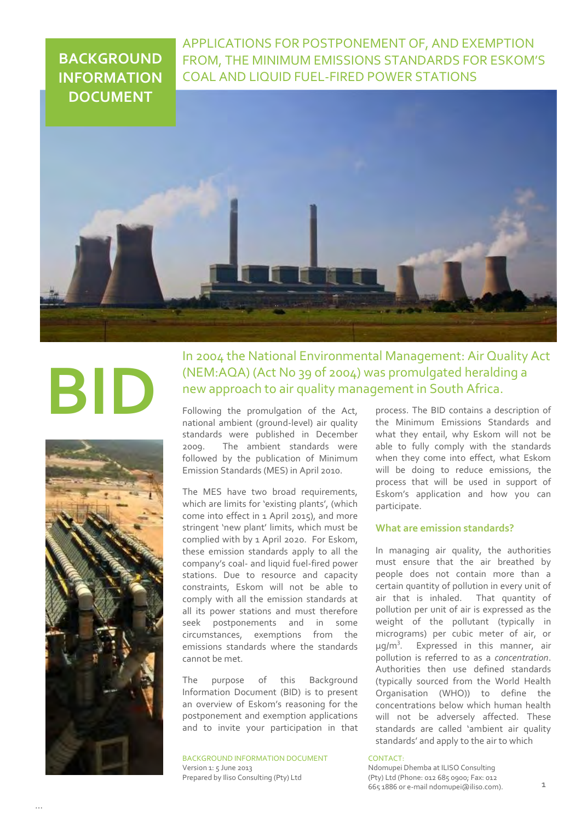# **BACKGROUND INFORMATION DOCUMENT**

APPLICATIONS FOR POSTPONEMENT OF, AND EXEMPTION FROM, THE MINIMUM EMISSIONS STANDARDS FOR ESKOM'S COAL AND LIQUID FUEL-FIRED POWER STATIONS



# **BII**



In 2004 the National Environmental Management: Air Quality Act (NEM:AQA) (Act No 39 of 2004) was promulgated heralding a new approach to air quality management in South Africa.

Following the promulgation of the Act, national ambient (ground-level) air quality standards were published in December 2009. The ambient standards were followed by the publication of Minimum Emission Standards (MES) in April 2010.

The MES have two broad requirements, which are limits for 'existing plants', (which come into effect in 1 April 2015), and more stringent 'new plant' limits, which must be complied with by 1 April 2020. For Eskom, these emission standards apply to all the company's coal- and liquid fuel-fired power stations. Due to resource and capacity constraints, Eskom will not be able to comply with all the emission standards at all its power stations and must therefore seek postponements and in some circumstances, exemptions from the emissions standards where the standards cannot be met.

The purpose of this Background Information Document (BID) is to present an overview of Eskom's reasoning for the postponement and exemption applications and to invite your participation in that

BACKGROUND INFORMATION DOCUMENT Version 1: 5 June 2013 Prepared by Iliso Consulting (Pty) Ltd

process. The BID contains a description of the Minimum Emissions Standards and what they entail, why Eskom will not be able to fully comply with the standards when they come into effect, what Eskom will be doing to reduce emissions, the process that will be used in support of Eskom's application and how you can participate.

# **What are emission standards?**

In managing air quality, the authorities must ensure that the air breathed by people does not contain more than a certain quantity of pollution in every unit of air that is inhaled. That quantity of pollution per unit of air is expressed as the weight of the pollutant (typically in micrograms) per cubic meter of air, or  $\mu$ g/m<sup>3</sup>. Expressed in this manner, air pollution is referred to as a *concentration*. Authorities then use defined standards (typically sourced from the World Health Organisation (WHO)) to define the concentrations below which human health will not be adversely affected. These standards are called 'ambient air quality standards' and apply to the air to which

### CONTACT:

Ndomupei Dhemba at ILISO Consulting (Pty) Ltd (Phone: 012 685 0900; Fax: 012 665 1886 or e-mail ndomupei@iliso.com).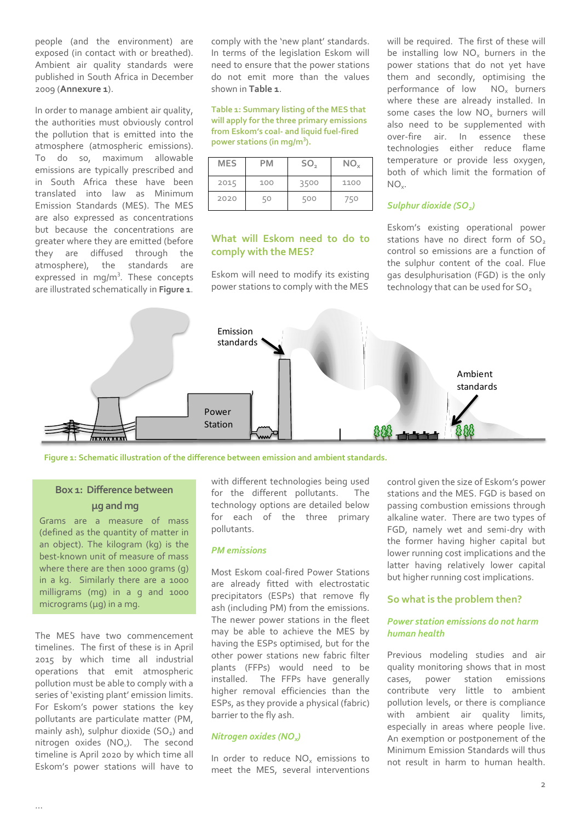people (and the environment) are exposed (in contact with or breathed). Ambient air quality standards were published in South Africa in December 2009 (**Annexure 1**).

In order to manage ambient air quality, the authorities must obviously control the pollution that is emitted into the atmosphere (atmospheric emissions). To do so, maximum allowable emissions are typically prescribed and in South Africa these have been translated into law as Minimum Emission Standards (MES). The MES are also expressed as concentrations but because the concentrations are greater where they are emitted (before they are diffused through the atmosphere), the standards are expressed in mg/m<sup>3</sup>. These concepts are illustrated schematically in **Figure 1**.

comply with the 'new plant' standards. In terms of the legislation Eskom will need to ensure that the power stations do not emit more than the values shown in **Table 1**.

**Table 1: Summary listing of the MES that will apply for the three primary emissions from Eskom's coal- and liquid fuel-fired power stations (in mg/m<sup>3</sup> ).**

| <b>MES</b> | РM  | SO <sub>2</sub> | $NO_{x}$ |
|------------|-----|-----------------|----------|
| 2015       | 100 | 3500            | 1100     |
| 2020       |     | 500             | 750      |

# **What will Eskom need to do to comply with the MES?**

Eskom will need to modify its existing power stations to comply with the MES

will be required. The first of these will be installing low  $NO_x$  burners in the power stations that do not yet have them and secondly, optimising the performance of low NO<sub>v</sub> burners where these are already installed. In some cases the low  $NO_x$  burners will also need to be supplemented with over-fire air. In essence these technologies either reduce flame temperature or provide less oxygen, both of which limit the formation of  $NO_{x}$ .

# *Sulphur dioxide (SO2)*

Eskom's existing operational power stations have no direct form of SO<sub>2</sub> control so emissions are a function of the sulphur content of the coal. Flue gas desulphurisation (FGD) is the only technology that can be used for SO<sub>2</sub>



**Figure 1: Schematic illustration of the difference between emission and ambient standards.**

# **Box 1: Difference between μg and mg**

Grams are a measure of mass (defined as the quantity of matter in an object). The kilogram (kg) is the best-known unit of measure of mass where there are then 1000 grams (g) in a kg. Similarly there are a 1000 milligrams (mg) in a g and 1000 micrograms (μg) in a mg.

The MES have two commencement timelines. The first of these is in April 2015 by which time all industrial operations that emit atmospheric pollution must be able to comply with a series of 'existing plant' emission limits. For Eskom's power stations the key pollutants are particulate matter (PM, mainly ash), sulphur dioxide  $(SO<sub>2</sub>)$  and nitrogen oxides  $(NO_x)$ . The second timeline is April 2020 by which time all Eskom's power stations will have to

with different technologies being used for the different pollutants. The technology options are detailed below for each of the three primary pollutants.

## *PM emissions*

Most Eskom coal-fired Power Stations are already fitted with electrostatic precipitators (ESPs) that remove fly ash (including PM) from the emissions. The newer power stations in the fleet may be able to achieve the MES by having the ESPs optimised, but for the other power stations new fabric filter plants (FFPs) would need to be installed. The FFPs have generally higher removal efficiencies than the ESPs, as they provide a physical (fabric) barrier to the fly ash.

# *Nitrogen oxides (NOx)*

In order to reduce  $NO_x$  emissions to meet the MES, several interventions control given the size of Eskom's power stations and the MES. FGD is based on passing combustion emissions through alkaline water. There are two types of FGD, namely wet and semi-dry with the former having higher capital but lower running cost implications and the latter having relatively lower capital but higher running cost implications.

# **So what is the problem then?**

# *Power station emissions do not harm human health*

Previous modeling studies and air quality monitoring shows that in most cases, power station emissions contribute very little to ambient pollution levels, or there is compliance with ambient air quality limits, especially in areas where people live. An exemption or postponement of the Minimum Emission Standards will thus not result in harm to human health.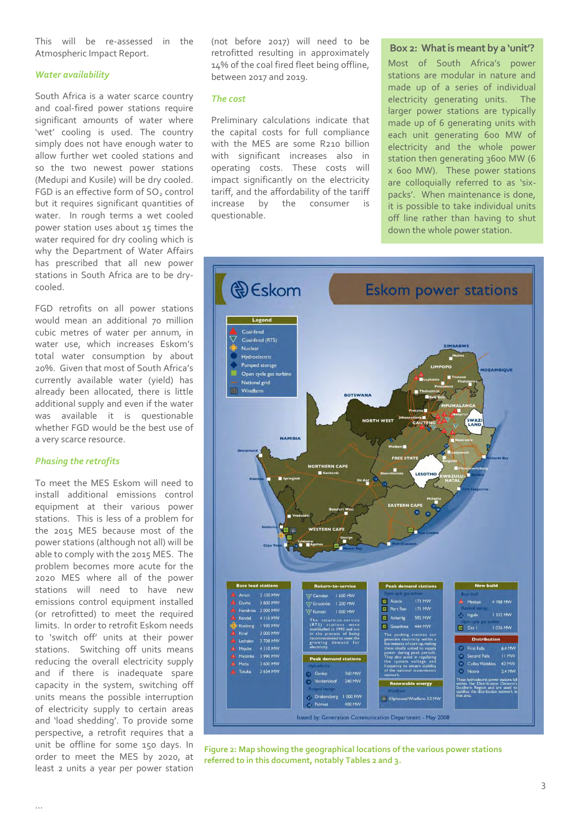This will be re-assessed in the Atmospheric Impact Report.

# *Water availability*

South Africa is a water scarce country and coal-fired power stations require significant amounts of water where 'wet' cooling is used. The country simply does not have enough water to allow further wet cooled stations and so the two newest power stations (Medupi and Kusile) will be dry cooled. FGD is an effective form of SO<sub>2</sub> control but it requires significant quantities of water. In rough terms a wet cooled power station uses about 15 times the water required for dry cooling which is why the Department of Water Affairs has prescribed that all new power stations in South Africa are to be drycooled.

FGD retrofits on all power stations would mean an additional 70 million cubic metres of water per annum, in water use, which increases Eskom's total water consumption by about 20%. Given that most of South Africa's currently available water (yield) has already been allocated, there is little additional supply and even if the water was available it is questionable whether FGD would be the best use of a very scarce resource.

### *Phasing the retrofits*

To meet the MES Eskom will need to install additional emissions control equipment at their various power stations. This is less of a problem for the 2015 MES because most of the power stations (although not all) will be able to comply with the 2015 MES. The problem becomes more acute for the 2020 MES where all of the power stations will need to have new emissions control equipment installed (or retrofitted) to meet the required limits. In order to retrofit Eskom needs to 'switch off' units at their power stations. Switching off units means reducing the overall electricity supply and if there is inadequate spare capacity in the system, switching off units means the possible interruption of electricity supply to certain areas and 'load shedding'. To provide some perspective, a retrofit requires that a unit be offline for some 150 days. In order to meet the MES by 2020, at least 2 units a year per power station

(not before 2017) will need to be retrofitted resulting in approximately 14% of the coal fired fleet being offline, between 2017 and 2019.

### *The cost*

Preliminary calculations indicate that the capital costs for full compliance with the MES are some R210 billion with significant increases also in operating costs. These costs will impact significantly on the electricity tariff, and the affordability of the tariff increase by the consumer is questionable.

### **Box 2: What is meant by a 'unit'?**

 Most of South Africa's power stations are modular in nature and made up of a series of individual electricity generating units. The larger power stations are typically made up of 6 generating units with each unit generating 600 MW of electricity and the whole power station then generating 3600 MW (6 x 600 MW). These power stations are colloquially referred to as 'sixpacks'. When maintenance is done, it is possible to take individual units off line rather than having to shut down the whole power station.



**Figure 2: Map showing the geographical locations of the various power stations referred to in this document, notably Tables 2 and 3.**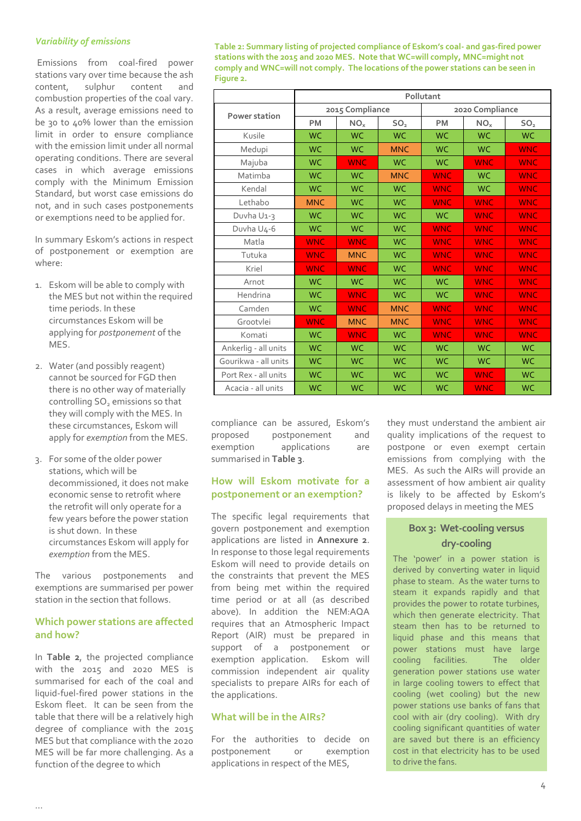# *Variability of emissions*

 Emissions from coal-fired power stations vary over time because the ash content, sulphur content and combustion properties of the coal vary. As a result, average emissions need to be 30 to 40% lower than the emission limit in order to ensure compliance with the emission limit under all normal operating conditions. There are several cases in which average emissions comply with the Minimum Emission Standard, but worst case emissions do not, and in such cases postponements or exemptions need to be applied for.

In summary Eskom's actions in respect of postponement or exemption are where:

- 1. Eskom will be able to comply with the MES but not within the required time periods. In these circumstances Eskom will be applying for *postponement* of the MES.
- 2. Water (and possibly reagent) cannot be sourced for FGD then there is no other way of materially controlling SO<sub>2</sub> emissions so that they will comply with the MES. In these circumstances, Eskom will apply for *exemption* from the MES.
- 3. For some of the older power stations, which will be decommissioned, it does not make economic sense to retrofit where the retrofit will only operate for a few years before the power station is shut down. In these circumstances Eskom will apply for *exemption* from the MES.

The various postponements and exemptions are summarised per power station in the section that follows.

# **Which power stations are affected and how?**

In **Table 2**, the projected compliance with the 2015 and 2020 MES is summarised for each of the coal and liquid-fuel-fired power stations in the Eskom fleet. It can be seen from the table that there will be a relatively high degree of compliance with the 2015 MES but that compliance with the 2020 MES will be far more challenging. As a function of the degree to which

**Table 2: Summary listing of projected compliance of Eskom's coal- and gas-fired power stations with the 2015 and 2020 MES. Note that WC=will comply, MNC=might not comply and WNC=will not comply. The locations of the power stations can be seen in Figure 2.**

|                      | Pollutant       |                 |                 |            |                 |                 |
|----------------------|-----------------|-----------------|-----------------|------------|-----------------|-----------------|
| Power station        | 2015 Compliance |                 | 2020 Compliance |            |                 |                 |
|                      | <b>PM</b>       | NO <sub>x</sub> | SO <sub>2</sub> | <b>PM</b>  | NO <sub>x</sub> | SO <sub>2</sub> |
| Kusile               | <b>WC</b>       | <b>WC</b>       | <b>WC</b>       | <b>WC</b>  | <b>WC</b>       | <b>WC</b>       |
| Medupi               | <b>WC</b>       | <b>WC</b>       | <b>MNC</b>      | <b>WC</b>  | <b>WC</b>       | <b>WNC</b>      |
| Majuba               | <b>WC</b>       | <b>WNC</b>      | <b>WC</b>       | <b>WC</b>  | <b>WNC</b>      | <b>WNC</b>      |
| Matimba              | <b>WC</b>       | <b>WC</b>       | <b>MNC</b>      | <b>WNC</b> | <b>WC</b>       | <b>WNC</b>      |
| Kendal               | <b>WC</b>       | <b>WC</b>       | <b>WC</b>       | <b>WNC</b> | <b>WC</b>       | <b>WNC</b>      |
| Lethabo              | <b>MNC</b>      | <b>WC</b>       | <b>WC</b>       | <b>WNC</b> | <b>WNC</b>      | <b>WNC</b>      |
| Duvha U1-3           | <b>WC</b>       | <b>WC</b>       | <b>WC</b>       | <b>WC</b>  | <b>WNC</b>      | <b>WNC</b>      |
| Duvha U4-6           | <b>WC</b>       | <b>WC</b>       | <b>WC</b>       | <b>WNC</b> | <b>WNC</b>      | <b>WNC</b>      |
| Matla                | <b>WNC</b>      | <b>WNC</b>      | <b>WC</b>       | <b>WNC</b> | <b>WNC</b>      | <b>WNC</b>      |
| Tutuka               | <b>WNC</b>      | <b>MNC</b>      | <b>WC</b>       | <b>WNC</b> | <b>WNC</b>      | <b>WNC</b>      |
| Kriel                | <b>WNC</b>      | <b>WNC</b>      | <b>WC</b>       | <b>WNC</b> | <b>WNC</b>      | <b>WNC</b>      |
| Arnot                | <b>WC</b>       | <b>WC</b>       | <b>WC</b>       | <b>WC</b>  | <b>WNC</b>      | <b>WNC</b>      |
| Hendrina             | <b>WC</b>       | <b>WNC</b>      | <b>WC</b>       | <b>WC</b>  | <b>WNC</b>      | <b>WNC</b>      |
| Camden               | <b>WC</b>       | <b>WNC</b>      | <b>MNC</b>      | <b>WNC</b> | <b>WNC</b>      | <b>WNC</b>      |
| Grootvlei            | <b>WNC</b>      | <b>MNC</b>      | <b>MNC</b>      | <b>WNC</b> | <b>WNC</b>      | <b>WNC</b>      |
| Komati               | <b>WC</b>       | <b>WNC</b>      | <b>WC</b>       | <b>WNC</b> | <b>WNC</b>      | <b>WNC</b>      |
| Ankerlig - all units | <b>WC</b>       | <b>WC</b>       | <b>WC</b>       | <b>WC</b>  | <b>WC</b>       | <b>WC</b>       |
| Gourikwa - all units | <b>WC</b>       | <b>WC</b>       | <b>WC</b>       | <b>WC</b>  | <b>WC</b>       | <b>WC</b>       |
| Port Rex - all units | <b>WC</b>       | <b>WC</b>       | <b>WC</b>       | <b>WC</b>  | <b>WNC</b>      | <b>WC</b>       |
| Acacia - all units   | <b>WC</b>       | <b>WC</b>       | <b>WC</b>       | <b>WC</b>  | <b>WNC</b>      | <b>WC</b>       |

compliance can be assured, Eskom's proposed postponement and exemption applications are summarised in **Table 3**.

# **How will Eskom motivate for a postponement or an exemption?**

The specific legal requirements that govern postponement and exemption applications are listed in **Annexure 2**. In response to those legal requirements Eskom will need to provide details on the constraints that prevent the MES from being met within the required time period or at all (as described above). In addition the NEM:AQA requires that an Atmospheric Impact Report (AIR) must be prepared in support of a postponement or exemption application. Eskom will commission independent air quality specialists to prepare AIRs for each of the applications.

# **What will be in the AIRs?**

For the authorities to decide on postponement or exemption applications in respect of the MES,

they must understand the ambient air quality implications of the request to postpone or even exempt certain emissions from complying with the MES. As such the AIRs will provide an assessment of how ambient air quality is likely to be affected by Eskom's proposed delays in meeting the MES

# **Box 3: Wet-cooling versus dry-cooling**

The 'power' in a power station is derived by converting water in liquid phase to steam. As the water turns to steam it expands rapidly and that provides the power to rotate turbines, which then generate electricity. That steam then has to be returned to liquid phase and this means that power stations must have large cooling facilities. The older generation power stations use water in large cooling towers to effect that cooling (wet cooling) but the new power stations use banks of fans that cool with air (dry cooling). With dry cooling significant quantities of water are saved but there is an efficiency cost in that electricity has to be used to drive the fans.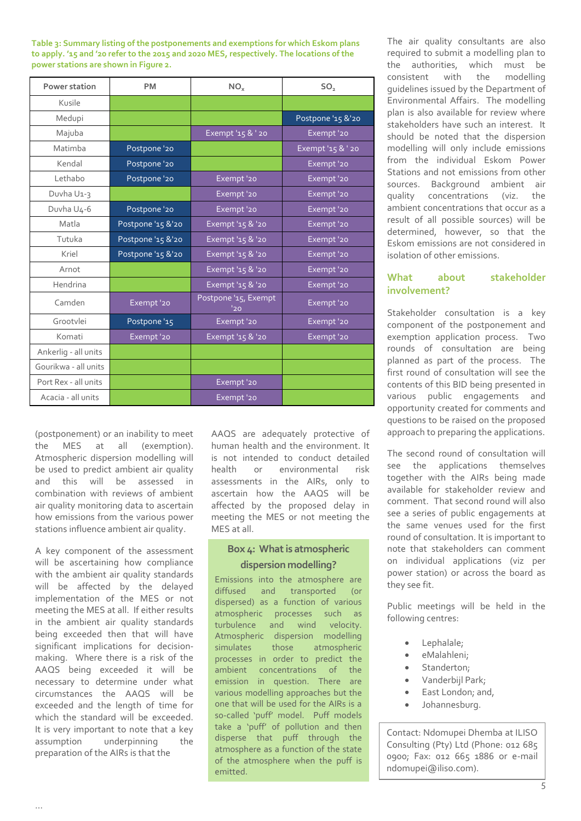**Table 3: Summary listing of the postponements and exemptions for which Eskom plans to apply. '15 and '20 refer to the 2015 and 2020 MES, respectively. The locations of the power stations are shown in Figure 2.**

| Power station        | <b>PM</b>         | NO <sub>x</sub>             | SO <sub>2</sub>   |
|----------------------|-------------------|-----------------------------|-------------------|
| Kusile               |                   |                             |                   |
| Medupi               |                   |                             | Postpone '15 &'20 |
| Majuba               |                   | Exempt '15 & ' 20           | Exempt '20        |
| Matimba              | Postpone '20      |                             | Exempt '15 & ' 20 |
| Kendal               | Postpone '20      |                             | Exempt '20        |
| Lethabo              | Postpone '20      | Exempt '20                  | Exempt '20        |
| Duvha U1-3           |                   | Exempt '20                  | Exempt '20        |
| Duvha U4-6           | Postpone '20      | Exempt '20                  | Exempt '20        |
| Matla                | Postpone '15 &'20 | Exempt '15 & '20            | Exempt '20        |
| Tutuka               | Postpone '15 &'20 | Exempt '15 & '20            | Exempt '20        |
| Kriel                | Postpone '15 &'20 | Exempt '15 & '20            | Exempt '20        |
| Arnot                |                   | Exempt '15 & '20            | Exempt '20        |
| Hendrina             |                   | Exempt '15 & '20            | Exempt '20        |
| Camden               | Exempt '20        | Postpone '15, Exempt<br>120 | Exempt '20        |
| Grootvlei            | Postpone '15      | Exempt '20                  | Exempt '20        |
| Komati               | Exempt '20        | Exempt '15 & '20            | Exempt '20        |
| Ankerlig - all units |                   |                             |                   |
| Gourikwa - all units |                   |                             |                   |
| Port Rex - all units |                   | Exempt '20                  |                   |
| Acacia - all units   |                   | Exempt '20                  |                   |

(postponement) or an inability to meet the MES at all (exemption). Atmospheric dispersion modelling will be used to predict ambient air quality and this will be assessed in combination with reviews of ambient air quality monitoring data to ascertain how emissions from the various power stations influence ambient air quality.

A key component of the assessment will be ascertaining how compliance with the ambient air quality standards will be affected by the delayed implementation of the MES or not meeting the MES at all. If either results in the ambient air quality standards being exceeded then that will have significant implications for decisionmaking. Where there is a risk of the AAQS being exceeded it will be necessary to determine under what circumstances the AAQS will be exceeded and the length of time for which the standard will be exceeded. It is very important to note that a key assumption underpinning the preparation of the AIRs is that the

AAQS are adequately protective of human health and the environment. It is not intended to conduct detailed health or environmental risk assessments in the AIRs, only to ascertain how the AAQS will be affected by the proposed delay in meeting the MES or not meeting the MES at all.

# **Box 4: What is atmospheric dispersion modelling?**

Emissions into the atmosphere are diffused and transported (or dispersed) as a function of various atmospheric processes such as turbulence and wind velocity. Atmospheric dispersion modelling simulates those atmospheric processes in order to predict the ambient concentrations of the emission in question. There are various modelling approaches but the one that will be used for the AIRs is a so-called 'puff' model. Puff models take a 'puff' of pollution and then disperse that puff through the atmosphere as a function of the state of the atmosphere when the puff is emitted.

The air quality consultants are also required to submit a modelling plan to the authorities, which must be consistent with the modelling guidelines issued by the Department of Environmental Affairs. The modelling plan is also available for review where stakeholders have such an interest. It should be noted that the dispersion modelling will only include emissions from the individual Eskom Power Stations and not emissions from other sources. Background ambient air quality concentrations (viz. the ambient concentrations that occur as a result of all possible sources) will be determined, however, so that the Eskom emissions are not considered in isolation of other emissions.

# **What about stakeholder involvement?**

Stakeholder consultation is a key component of the postponement and exemption application process. Two rounds of consultation are being planned as part of the process. The first round of consultation will see the contents of this BID being presented in various public engagements and opportunity created for comments and questions to be raised on the proposed approach to preparing the applications.

The second round of consultation will see the applications themselves together with the AIRs being made available for stakeholder review and comment. That second round will also see a series of public engagements at the same venues used for the first round of consultation. It is important to note that stakeholders can comment on individual applications (viz per power station) or across the board as they see fit.

Public meetings will be held in the following centres:

- Lephalale;
- eMalahleni;
- Standerton;
- Vanderbijl Park;
- East London; and,
- Johannesburg.

Contact: Ndomupei Dhemba at ILISO Consulting (Pty) Ltd (Phone: 012 685 0900; Fax: 012 665 1886 or e-mail ndomupei@iliso.com).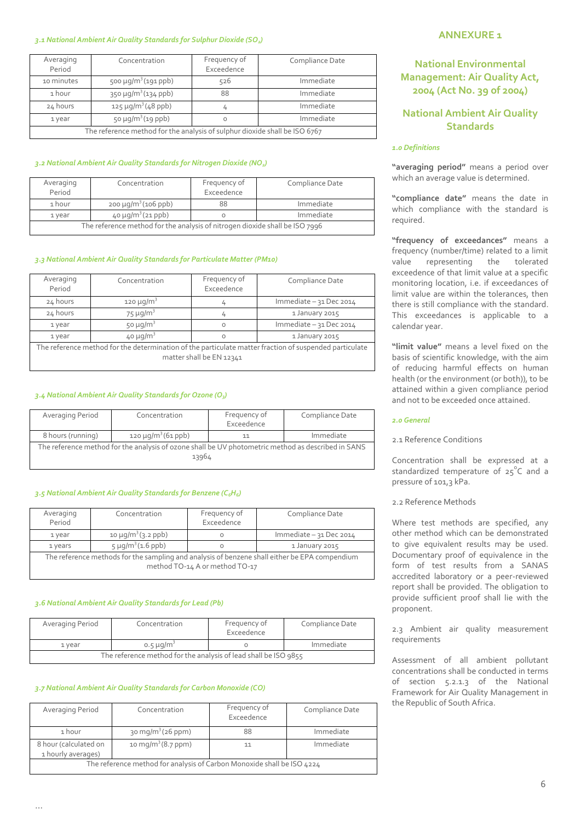### *3.1 National Ambient Air Quality Standards for Sulphur Dioxide (SO2)*

| Averaging<br>Period                                                        | Concentration                        | Frequency of<br>Exceedence | Compliance Date |  |
|----------------------------------------------------------------------------|--------------------------------------|----------------------------|-----------------|--|
| 10 minutes                                                                 | 500 $\mu$ g/m <sup>3</sup> (191 ppb) | 526                        | Immediate       |  |
| 1 hour                                                                     | $350 \mu g/m^3 (134 \text{ ppb})$    | 88                         | Immediate       |  |
| 24 hours                                                                   | $125 \mu g/m^3 (48 \text{ pb})$      |                            | Immediate       |  |
| 1 year                                                                     | 50 $\mu$ g/m <sup>3</sup> (19 ppb)   | O                          | Immediate       |  |
| The reference method for the analysis of sulphur dioxide shall be ISO 6767 |                                      |                            |                 |  |

### *3.2 National Ambient Air Quality Standards for Nitrogen Dioxide (NO2)*

| Averaging<br>Period                                                         | Concentration                    | Frequency of<br>Exceedence | Compliance Date |
|-----------------------------------------------------------------------------|----------------------------------|----------------------------|-----------------|
| 1 hour                                                                      | $200 \mu q/m^3 (106 \text{ pb})$ | 88                         | Immediate       |
| 1 year                                                                      | $40 \mu q/m^3 (21 \text{ppb})$   |                            | Immediate       |
| The reference method for the analysis of nitrogen dioxide shall be ISO 7996 |                                  |                            |                 |

### *3.3 National Ambient Air Quality Standards for Particulate Matter (PM10)*

| Averaging<br>Period                                                                                    | Concentration              | Frequency of<br>Exceedence | Compliance Date         |  |
|--------------------------------------------------------------------------------------------------------|----------------------------|----------------------------|-------------------------|--|
| 24 hours                                                                                               | 120 $\mu$ g/m <sup>3</sup> | 4                          | Immediate - 31 Dec 2014 |  |
| 24 hours                                                                                               | $75 \mu q/m^3$             | 4                          | 1 January 2015          |  |
| 1 year                                                                                                 | 50 $\mu$ g/m <sup>3</sup>  | 0                          | Immediate - 31 Dec 2014 |  |
| 1 year                                                                                                 | $40 \mu q/m^3$             |                            | 1 January 2015          |  |
| The reference method for the determination of the particulate matter fraction of suspended particulate |                            |                            |                         |  |
| matter shall be EN 12341                                                                               |                            |                            |                         |  |

### *3.4 National Ambient Air Quality Standards for Ozone (O3)*

| Averaging Period                                                                                            | Concentration                   | Frequency of<br>Exceedence | Compliance Date |  |
|-------------------------------------------------------------------------------------------------------------|---------------------------------|----------------------------|-----------------|--|
| 8 hours (running)                                                                                           | $120 \mu q/m^3 (61 \text{ pb})$ |                            | Immediate       |  |
| The reference method for the analysis of ozone shall be UV photometric method as described in SANS<br>13964 |                                 |                            |                 |  |

### *3.5 National Ambient Air Quality Standards for Benzene (C6H6)*

| Averaging<br>Period                                                                                                             | Concentration                       | Frequency of<br>Exceedence | Compliance Date         |  |
|---------------------------------------------------------------------------------------------------------------------------------|-------------------------------------|----------------------------|-------------------------|--|
| 1 year                                                                                                                          | 10 $\mu$ g/m <sup>3</sup> (3.2 ppb) |                            | Immediate - 31 Dec 2014 |  |
| 1 years                                                                                                                         | $5 \mu g/m^3$ (1.6 ppb)             |                            | 1 January 2015          |  |
| The reference methods for the sampling and analysis of benzene shall either be EPA compendium<br>method TO-14 A or method TO-17 |                                     |                            |                         |  |

### *3.6 National Ambient Air Quality Standards for Lead (Pb)*

| Averaging Period                                                | Concentration              | Frequency of<br>Exceedence | Compliance Date |  |
|-----------------------------------------------------------------|----------------------------|----------------------------|-----------------|--|
| 1 year                                                          | 0.5 $\mu$ g/m <sup>3</sup> |                            | Immediate       |  |
| The reference method for the analysis of lead shall be ISO 9855 |                            |                            |                 |  |

### *3.7 National Ambient Air Quality Standards for Carbon Monoxide (CO)*

| Averaging Period                                                                | Concentration                   | Frequency of<br>Exceedence | Compliance Date |  |
|---------------------------------------------------------------------------------|---------------------------------|----------------------------|-----------------|--|
| 1 hour                                                                          | $30 \,\mathrm{mg/m^3}$ (26 ppm) | 88                         | Immediate       |  |
| 10 mg/m <sup>3</sup> $(8.7$ ppm)<br>8 hour (calculated on<br>1 hourly averages) |                                 | 11                         | Immediate       |  |
| The reference method for analysis of Carbon Monoxide shall be ISO 4224          |                                 |                            |                 |  |

### **ANNEXURE 1**

# **National Environmental Management: Air Quality Act, 2004 (Act No. 39 of 2004)**

# **National Ambient Air Quality Standards**

### *1.0 Definitions*

**"averaging period"** means a period over which an average value is determined.

**"compliance date"** means the date in which compliance with the standard is required.

**"frequency of exceedances"** means a frequency (number/time) related to a limit value representing the tolerated exceedence of that limit value at a specific monitoring location, i.e. if exceedances of limit value are within the tolerances, then there is still compliance with the standard. This exceedances is applicable to a calendar year.

**"limit value"** means a level fixed on the basis of scientific knowledge, with the aim of reducing harmful effects on human health (or the environment (or both)), to be attained within a given compliance period and not to be exceeded once attained.

### *2.0 General*

### 2.1 Reference Conditions

Concentration shall be expressed at a standardized temperature of  $25^{\circ}$ C and a pressure of 101,3 kPa.

2.2 Reference Methods

Where test methods are specified, any other method which can be demonstrated to give equivalent results may be used. Documentary proof of equivalence in the form of test results from a SANAS accredited laboratory or a peer-reviewed report shall be provided. The obligation to provide sufficient proof shall lie with the proponent.

2.3 Ambient air quality measurement requirements

Assessment of all ambient pollutant concentrations shall be conducted in terms of section 5.2.1.3 of the National Framework for Air Quality Management in the Republic of South Africa.